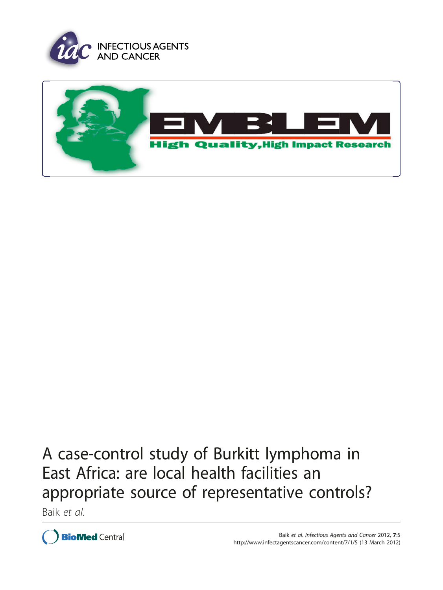



# A case-control study of Burkitt lymphoma in East Africa: are local health facilities an appropriate source of representative controls?

Baik et al.

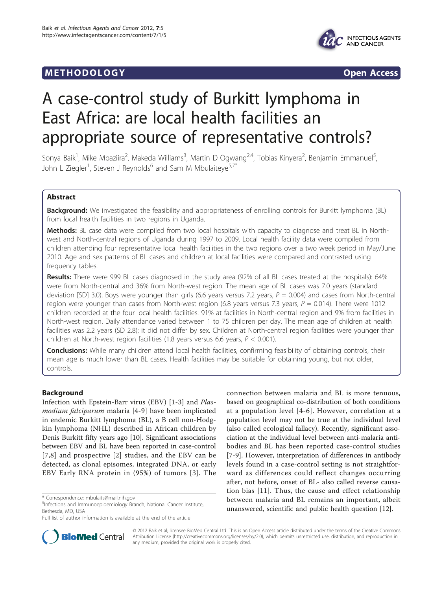### **METHODOLOGY Open Access**





## A case-control study of Burkitt lymphoma in East Africa: are local health facilities an appropriate source of representative controls?

Sonya Baik<sup>1</sup>, Mike Mbaziira<sup>2</sup>, Makeda Williams<sup>3</sup>, Martin D Ogwang<sup>2,4</sup>, Tobias Kinyera<sup>2</sup>, Benjamin Emmanuel<sup>5</sup> , John L Ziegler<sup>1</sup>, Steven J Reynolds<sup>6</sup> and Sam M Mbulaiteye<sup>5,7\*</sup>

#### Abstract

**Background:** We investigated the feasibility and appropriateness of enrolling controls for Burkitt lymphoma (BL) from local health facilities in two regions in Uganda.

Methods: BL case data were compiled from two local hospitals with capacity to diagnose and treat BL in Northwest and North-central regions of Uganda during 1997 to 2009. Local health facility data were compiled from children attending four representative local health facilities in the two regions over a two week period in May/June 2010. Age and sex patterns of BL cases and children at local facilities were compared and contrasted using frequency tables.

Results: There were 999 BL cases diagnosed in the study area (92% of all BL cases treated at the hospitals): 64% were from North-central and 36% from North-west region. The mean age of BL cases was 7.0 years (standard deviation [SD] 3.0). Boys were younger than girls (6.6 years versus 7.2 years,  $P = 0.004$ ) and cases from North-central region were younger than cases from North-west region (6.8 years versus 7.3 years,  $P = 0.014$ ). There were 1012 children recorded at the four local health facilities: 91% at facilities in North-central region and 9% from facilities in North-west region. Daily attendance varied between 1 to 75 children per day. The mean age of children at health facilities was 2.2 years (SD 2.8); it did not differ by sex. Children at North-central region facilities were younger than children at North-west region facilities (1.8 years versus 6.6 years,  $P < 0.001$ ).

Conclusions: While many children attend local health facilities, confirming feasibility of obtaining controls, their mean age is much lower than BL cases. Health facilities may be suitable for obtaining young, but not older, controls.

#### Background

Infection with Epstein-Barr virus (EBV) [[1-3](#page-6-0)] and Plasmodium falciparum malaria [\[4](#page-6-0)-[9\]](#page-6-0) have been implicated in endemic Burkitt lymphoma (BL), a B cell non-Hodgkin lymphoma (NHL) described in African children by Denis Burkitt fifty years ago [\[10\]](#page-6-0). Significant associations between EBV and BL have been reported in case-control [[7](#page-6-0),[8\]](#page-6-0) and prospective [\[2](#page-6-0)] studies, and the EBV can be detected, as clonal episomes, integrated DNA, or early EBV Early RNA protein in (95%) of tumors [[3\]](#page-6-0). The connection between malaria and BL is more tenuous, based on geographical co-distribution of both conditions at a population level [[4-6\]](#page-6-0). However, correlation at a population level may not be true at the individual level (also called ecological fallacy). Recently, significant association at the individual level between anti-malaria antibodies and BL has been reported case-control studies [[7-9](#page-6-0)]. However, interpretation of differences in antibody levels found in a case-control setting is not straightforward as differences could reflect changes occurring after, not before, onset of BL- also called reverse causation bias [\[11\]](#page-6-0). Thus, the cause and effect relationship between malaria and BL remains an important, albeit unanswered, scientific and public health question [[12\]](#page-6-0).



© 2012 Baik et al; licensee BioMed Central Ltd. This is an Open Access article distributed under the terms of the Creative Commons Attribution License [\(http://creativecommons.org/licenses/by/2.0](http://creativecommons.org/licenses/by/2.0)), which permits unrestricted use, distribution, and reproduction in any medium, provided the original work is properly cited.

<sup>\*</sup> Correspondence: [mbulaits@mail.nih.gov](mailto:mbulaits@mail.nih.gov)

<sup>5</sup> Infections and Immunoepidemiology Branch, National Cancer Institute, Bethesda, MD, USA

Full list of author information is available at the end of the article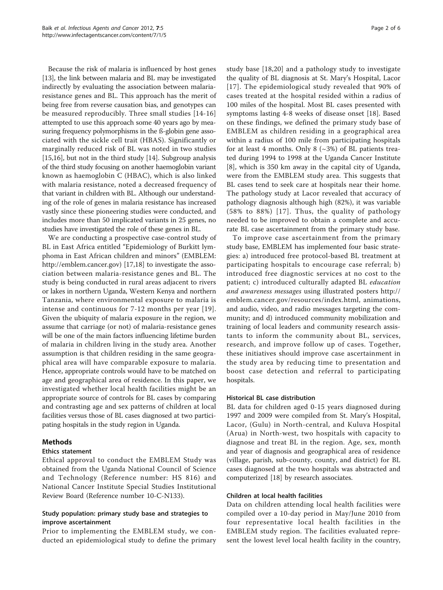Because the risk of malaria is influenced by host genes [[13](#page-6-0)], the link between malaria and BL may be investigated indirectly by evaluating the association between malariaresistance genes and BL. This approach has the merit of being free from reverse causation bias, and genotypes can be measured reproducibly. Three small studies [[14](#page-6-0)-[16](#page-6-0)] attempted to use this approach some 40 years ago by measuring frequency polymorphisms in the ß-globin gene associated with the sickle cell trait (HBAS). Significantly or marginally reduced risk of BL was noted in two studies [[15,16](#page-6-0)], but not in the third study [[14](#page-6-0)]. Subgroup analysis of the third study focusing on another haemoglobin variant known as haemoglobin C (HBAC), which is also linked with malaria resistance, noted a decreased frequency of that variant in children with BL. Although our understanding of the role of genes in malaria resistance has increased vastly since these pioneering studies were conducted, and includes more than 50 implicated variants in 25 genes, no studies have investigated the role of these genes in BL.

We are conducting a prospective case-control study of BL in East Africa entitled "Epidemiology of Burkitt lymphoma in East African children and minors" (EMBLEM: [http://emblem.cancer.gov\)](http://emblem.cancer.gov) [[17](#page-6-0),[18](#page-6-0)] to investigate the association between malaria-resistance genes and BL. The study is being conducted in rural areas adjacent to rivers or lakes in northern Uganda, Western Kenya and northern Tanzania, where environmental exposure to malaria is intense and continuous for 7-12 months per year [[19](#page-6-0)]. Given the ubiquity of malaria exposure in the region, we assume that carriage (or not) of malaria-resistance genes will be one of the main factors influencing lifetime burden of malaria in children living in the study area. Another assumption is that children residing in the same geographical area will have comparable exposure to malaria. Hence, appropriate controls would have to be matched on age and geographical area of residence. In this paper, we investigated whether local health facilities might be an appropriate source of controls for BL cases by comparing and contrasting age and sex patterns of children at local facilities versus those of BL cases diagnosed at two participating hospitals in the study region in Uganda.

#### Methods

#### Ethics statement

Ethical approval to conduct the EMBLEM Study was obtained from the Uganda National Council of Science and Technology (Reference number: HS 816) and National Cancer Institute Special Studies Institutional Review Board (Reference number 10-C-N133).

#### Study population: primary study base and strategies to improve ascertainment

Prior to implementing the EMBLEM study, we conducted an epidemiological study to define the primary study base [[18,20](#page-6-0)] and a pathology study to investigate the quality of BL diagnosis at St. Mary's Hospital, Lacor [[17\]](#page-6-0). The epidemiological study revealed that 90% of cases treated at the hospital resided within a radius of 100 miles of the hospital. Most BL cases presented with symptoms lasting 4-8 weeks of disease onset [\[18](#page-6-0)]. Based on these findings, we defined the primary study base of EMBLEM as children residing in a geographical area within a radius of 100 mile from participating hospitals for at least 4 months. Only 8  $(\sim 3\%)$  of BL patients treated during 1994 to 1998 at the Uganda Cancer Institute [[8\]](#page-6-0), which is 350 km away in the capital city of Uganda, were from the EMBLEM study area. This suggests that BL cases tend to seek care at hospitals near their home. The pathology study at Lacor revealed that accuracy of pathology diagnosis although high (82%), it was variable (58% to 88%) [[17\]](#page-6-0). Thus, the quality of pathology needed to be improved to obtain a complete and accurate BL case ascertainment from the primary study base.

To improve case ascertainment from the primary study base, EMBLEM has implemented four basic strategies: a) introduced free protocol-based BL treatment at participating hospitals to encourage case referral; b) introduced free diagnostic services at no cost to the patient; c) introduced culturally adapted BL education and awareness messages using illustrated posters [http://](http://emblem.cancer.gov/resources/index.html) [emblem.cancer.gov/resources/index.html,](http://emblem.cancer.gov/resources/index.html) animations, and audio, video, and radio messages targeting the community; and d) introduced community mobilization and training of local leaders and community research assistants to inform the community about BL, services, research, and improve follow up of cases. Together, these initiatives should improve case ascertainment in the study area by reducing time to presentation and boost case detection and referral to participating hospitals.

#### Historical BL case distribution

BL data for children aged 0-15 years diagnosed during 1997 and 2009 were compiled from St. Mary's Hospital, Lacor, (Gulu) in North-central, and Kuluva Hospital (Arua) in North-west, two hospitals with capacity to diagnose and treat BL in the region. Age, sex, month and year of diagnosis and geographical area of residence (village, parish, sub-county, county, and district) for BL cases diagnosed at the two hospitals was abstracted and computerized [[18](#page-6-0)] by research associates.

#### Children at local health facilities

Data on children attending local health facilities were compiled over a 10-day period in May/June 2010 from four representative local health facilities in the EMBLEM study region. The facilities evaluated represent the lowest level local health facility in the country,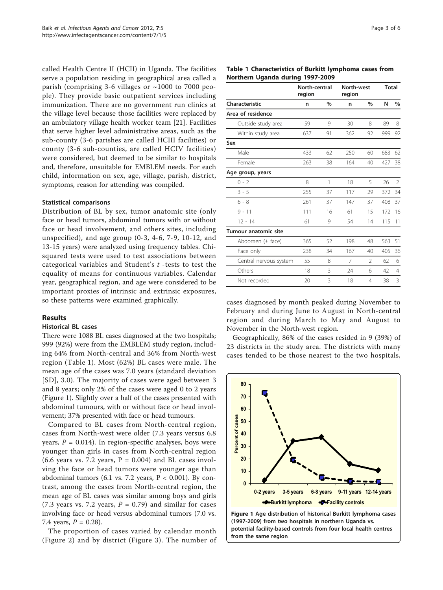called Health Centre II (HCII) in Uganda. The facilities serve a population residing in geographical area called a parish (comprising 3-6 villages or ~1000 to 7000 people). They provide basic outpatient services including immunization. There are no government run clinics at the village level because those facilities were replaced by an ambulatory village health worker team [\[21](#page-6-0)]. Facilities that serve higher level administrative areas, such as the sub-county (3-6 parishes are called HCIII facilities) or county (3-6 sub-counties, are called HCIV facilities) were considered, but deemed to be similar to hospitals and, therefore, unsuitable for EMBLEM needs. For each child, information on sex, age, village, parish, district, symptoms, reason for attending was compiled.

#### Statistical comparisons

Distribution of BL by sex, tumor anatomic site (only face or head tumors, abdominal tumors with or without face or head involvement, and others sites, including unspecified), and age group (0-3, 4-6, 7-9, 10-12, and 13-15 years) were analyzed using frequency tables. Chisquared tests were used to test associations between categorical variables and Student's t -tests to test the equality of means for continuous variables. Calendar year, geographical region, and age were considered to be important proxies of intrinsic and extrinsic exposures, so these patterns were examined graphically.

#### Results

#### Historical BL cases

There were 1088 BL cases diagnosed at the two hospitals; 999 (92%) were from the EMBLEM study region, including 64% from North-central and 36% from North-west region (Table 1). Most (62%) BL cases were male. The mean age of the cases was 7.0 years (standard deviation [SD], 3.0). The majority of cases were aged between 3 and 8 years; only 2% of the cases were aged 0 to 2 years (Figure 1). Slightly over a half of the cases presented with abdominal tumours, with or without face or head involvement; 37% presented with face or head tumours.

Compared to BL cases from North-central region, cases from North-west were older (7.3 years versus 6.8 years,  $P = 0.014$ ). In region-specific analyses, boys were younger than girls in cases from North-central region (6.6 years vs. 7.2 years,  $P = 0.004$ ) and BL cases involving the face or head tumors were younger age than abdominal tumors (6.1 vs. 7.2 years,  $P < 0.001$ ). By contrast, among the cases from North-central region, the mean age of BL cases was similar among boys and girls (7.3 years vs. 7.2 years,  $P = 0.79$ ) and similar for cases involving face or head versus abdominal tumors (7.0 vs. 7.4 years,  $P = 0.28$ ).

The proportion of cases varied by calendar month (Figure [2](#page-4-0)) and by district (Figure [3\)](#page-4-0). The number of

#### Table 1 Characteristics of Burkitt lymphoma cases from Northern Uganda during 1997-2009

|                        | North-central<br>region |    | North-west<br>region |                | <b>Total</b> |                |
|------------------------|-------------------------|----|----------------------|----------------|--------------|----------------|
| Characteristic         | n                       | %  | n                    | $\frac{0}{0}$  | N            | $\%$           |
| Area of residence      |                         |    |                      |                |              |                |
| Outside study area     | 59                      | 9  | 30                   | 8              | 89           | 8              |
| Within study area      | 637                     | 91 | 362                  | 92             | 999          | 92             |
| Sex                    |                         |    |                      |                |              |                |
| Male                   | 433                     | 62 | 250                  | 60             | 683          | 62             |
| Female                 | 263                     | 38 | 164                  | 40             | 427          | 38             |
| Age group, years       |                         |    |                      |                |              |                |
| $0 - 2$                | 8                       | 1  | 18                   | 5              | 26           | $\overline{2}$ |
| $3 - 5$                | 255                     | 37 | 117                  | 29             | 372          | 34             |
| $6 - 8$                | 261                     | 37 | 147                  | 37             | 408          | 37             |
| $9 - 11$               | 111                     | 16 | 61                   | 15             | 172          | 16             |
| $12 - 14$              | 61                      | 9  | 54                   | 14             | 115          | 11             |
| Tumour anatomic site   |                         |    |                      |                |              |                |
| Abdomen $(\pm$ face)   | 365                     | 52 | 198                  | 48             | 563          | 51             |
| Face only              | 238                     | 34 | 167                  | 40             | 405          | 36             |
| Central nervous system | 55                      | 8  | 7                    | $\mathfrak{D}$ | 62           | 6              |
| Others                 | 18                      | 3  | 24                   | 6              | 42           | $\overline{4}$ |
| Not recorded           | 20                      | 3  | 18                   | $\overline{4}$ | 38           | 3              |

cases diagnosed by month peaked during November to February and during June to August in North-central region and during March to May and August to November in the North-west region.

Geographically, 86% of the cases resided in 9 (39%) of 23 districts in the study area. The districts with many cases tended to be those nearest to the two hospitals,



potential facility-based controls from four local health centres from the same region.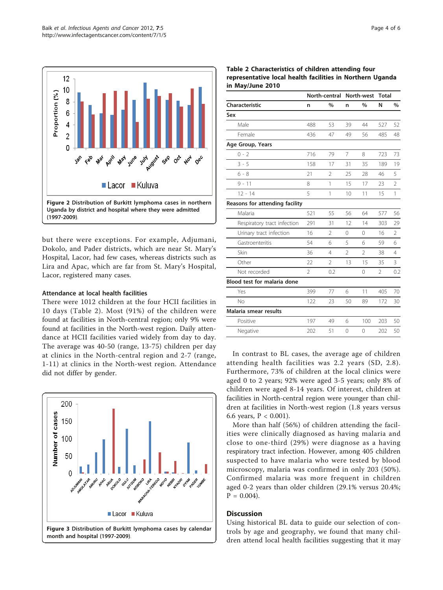<span id="page-4-0"></span>

but there were exceptions. For example, Adjumani, Dokolo, and Pader districts, which are near St. Mary's Hospital, Lacor, had few cases, whereas districts such as Lira and Apac, which are far from St. Mary's Hospital, Lacor, registered many cases.

#### Attendance at local health facilities

There were 1012 children at the four HCII facilities in 10 days (Table 2). Most (91%) of the children were found at facilities in North-central region; only 9% were found at facilities in the North-west region. Daily attendance at HCII facilities varied widely from day to day. The average was 40-50 (range, 13-75) children per day at clinics in the North-central region and 2-7 (range, 1-11) at clinics in the North-west region. Attendance did not differ by gender.



Table 2 Characteristics of children attending four representative local health facilities in Northern Uganda in May/June 2010

|                                | North-central North-west |                |                |                | <b>Total</b>   |                |
|--------------------------------|--------------------------|----------------|----------------|----------------|----------------|----------------|
| Characteristic                 | n                        | $\frac{0}{0}$  | n              | $\%$           | N              | $\%$           |
| Sex                            |                          |                |                |                |                |                |
| Male                           | 488                      | 53             | 39             | 44             | 527            | 52             |
| Female                         | 436                      | 47             | 49             | 56             | 485            | 48             |
| Age Group, Years               |                          |                |                |                |                |                |
| $0 - 2$                        | 716                      | 79             | 7              | 8              | 723            | 73             |
| $3 - 5$                        | 158                      | 17             | 31             | 35             | 189            | 19             |
| $6 - 8$                        | 21                       | $\overline{2}$ | 25             | 28             | 46             | 5              |
| $9 - 11$                       | 8                        | 1              | 15             | 17             | 23             | $\overline{2}$ |
| $12 - 14$                      | 5                        | 1              | 10             | 11             | 15             | 1              |
| Reasons for attending facility |                          |                |                |                |                |                |
| Malaria                        | 521                      | 55             | 56             | 64             | 577            | 56             |
| Respiratory tract infection    | 291                      | 31             | 12             | 14             | 303            | 29             |
| Urinary tract infection        | 16                       | 2              | $\Omega$       | $\Omega$       | 16             | 2              |
| Gastroenteritis                | 54                       | 6              | 5              | 6              | 59             | 6              |
| Skin                           | 36                       | 4              | $\mathfrak{D}$ | $\mathfrak{D}$ | 38             | $\overline{4}$ |
| Other                          | 22                       | $\overline{2}$ | 13             | 15             | 35             | 3              |
| Not recorded                   | $\overline{2}$           | 0.2            |                | 0              | $\overline{2}$ | 0.2            |
| Blood test for malaria done    |                          |                |                |                |                |                |
| Yes                            | 399                      | 77             | 6              | 11             | 405            | 70             |
| <b>No</b>                      | 122                      | 23             | 50             | 89             | 172            | 30             |
| Malaria smear results          |                          |                |                |                |                |                |
| Positive                       | 197                      | 49             | 6              | 100            | 203            | 50             |
| Negative                       | 202                      | 51             | $\Omega$       | 0              | 202            | 50             |

In contrast to BL cases, the average age of children attending health facilities was 2.2 years (SD, 2.8). Furthermore, 73% of children at the local clinics were aged 0 to 2 years; 92% were aged 3-5 years; only 8% of children were aged 8-14 years. Of interest, children at facilities in North-central region were younger than children at facilities in North-west region (1.8 years versus 6.6 years,  $P < 0.001$ ).

More than half (56%) of children attending the facilities were clinically diagnosed as having malaria and close to one-third (29%) were diagnose as a having respiratory tract infection. However, among 405 children suspected to have malaria who were tested by blood microscopy, malaria was confirmed in only 203 (50%). Confirmed malaria was more frequent in children aged 0-2 years than older children (29.1% versus 20.4%;  $P = 0.004$ .

#### **Discussion**

Using historical BL data to guide our selection of controls by age and geography, we found that many children attend local health facilities suggesting that it may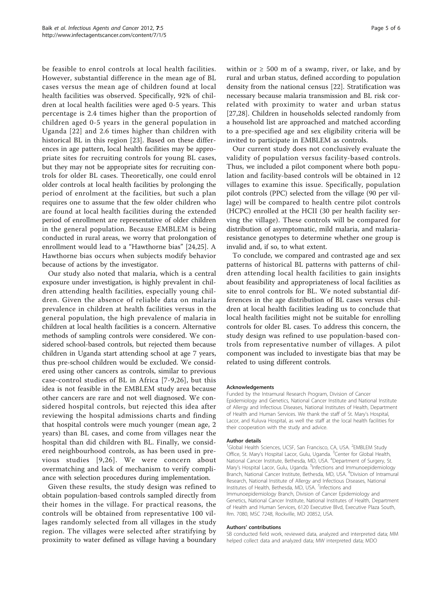be feasible to enrol controls at local health facilities. However, substantial difference in the mean age of BL cases versus the mean age of children found at local health facilities was observed. Specifically, 92% of children at local health facilities were aged 0-5 years. This percentage is 2.4 times higher than the proportion of children aged 0-5 years in the general population in Uganda [[22](#page-6-0)] and 2.6 times higher than children with historical BL in this region [[23](#page-6-0)]. Based on these differences in age pattern, local health facilities may be appropriate sites for recruiting controls for young BL cases, but they may not be appropriate sites for recruiting controls for older BL cases. Theoretically, one could enrol older controls at local health facilities by prolonging the period of enrolment at the facilities, but such a plan requires one to assume that the few older children who are found at local health facilities during the extended period of enrollment are representative of older children in the general population. Because EMBLEM is being conducted in rural areas, we worry that prolongation of enrollment would lead to a "Hawthorne bias" [[24,25\]](#page-6-0). A Hawthorne bias occurs when subjects modify behavior because of actions by the investigator.

Our study also noted that malaria, which is a central exposure under investigation, is highly prevalent in children attending health facilities, especially young children. Given the absence of reliable data on malaria prevalence in children at health facilities versus in the general population, the high prevalence of malaria in children at local health facilities is a concern. Alternative methods of sampling controls were considered. We considered school-based controls, but rejected them because children in Uganda start attending school at age 7 years, thus pre-school children would be excluded. We considered using other cancers as controls, similar to previous case-control studies of BL in Africa [\[7-9,26](#page-6-0)], but this idea is not feasible in the EMBLEM study area because other cancers are rare and not well diagnosed. We considered hospital controls, but rejected this idea after reviewing the hospital admissions charts and finding that hospital controls were much younger (mean age, 2 years) than BL cases, and come from villages near the hospital than did children with BL. Finally, we considered neighbourhood controls, as has been used in previous studies [[9](#page-6-0),[26\]](#page-6-0). We were concern about overmatching and lack of mechanism to verify compliance with selection procedures during implementation.

Given these results, the study design was refined to obtain population-based controls sampled directly from their homes in the village. For practical reasons, the controls will be obtained from representative 100 villages randomly selected from all villages in the study region. The villages were selected after stratifying by proximity to water defined as village having a boundary within or  $\geq 500$  m of a swamp, river, or lake, and by rural and urban status, defined according to population density from the national census [[22\]](#page-6-0). Stratification was necessary because malaria transmission and BL risk correlated with proximity to water and urban status [[27,28\]](#page-6-0). Children in households selected randomly from a household list are approached and matched according to a pre-specified age and sex eligibility criteria will be invited to participate in EMBLEM as controls.

Our current study does not conclusively evaluate the validity of population versus facility-based controls. Thus, we included a pilot component where both population and facility-based controls will be obtained in 12 villages to examine this issue. Specifically, population pilot controls (PPC) selected from the village (90 per village) will be compared to health centre pilot controls (HCPC) enrolled at the HCII (30 per health facility serving the village). These controls will be compared for distribution of asymptomatic, mild malaria, and malariaresistance genotypes to determine whether one group is invalid and, if so, to what extent.

To conclude, we compared and contrasted age and sex patterns of historical BL patterns with patterns of children attending local health facilities to gain insights about feasibility and appropriateness of local facilities as site to enrol controls for BL. We noted substantial differences in the age distribution of BL cases versus children at local health facilities leading us to conclude that local health facilities might not be suitable for enrolling controls for older BL cases. To address this concern, the study design was refined to use population-based controls from representative number of villages. A pilot component was included to investigate bias that may be related to using different controls.

#### Acknowledgements

Funded by the Intramural Research Program, Division of Cancer Epidemiology and Genetics, National Cancer Institute and National Institute of Allergy and Infectious Diseases, National Institutes of Health, Department of Health and Human Services. We thank the staff of St. Mary's Hospital, Lacor, and Kuluva Hospital, as well the staff at the local health facilities for their cooperation with the study and advice.

#### Author details

<sup>1</sup>Global Health Sciences, UCSF, San Francisco, CA, USA. <sup>2</sup>EMBLEM Study Office, St. Mary's Hospital Lacor, Gulu, Uganda. <sup>3</sup>Center for Global Health National Cancer Institute, Bethesda, MD, USA. <sup>4</sup>Department of Surgery, St. Mary's Hospital Lacor, Gulu, Uganda. <sup>5</sup>Infections and Immunoepidemiology Branch, National Cancer Institute, Bethesda, MD, USA. <sup>6</sup>Division of Intramural Research, National Institute of Allergy and Infectious Diseases, National Institutes of Health, Bethesda, MD, USA. <sup>7</sup>Infections and Immunoepidemiology Branch, Division of Cancer Epidemiology and Genetics, National Cancer Institute, National Institutes of Health, Department of Health and Human Services, 6120 Executive Blvd, Executive Plaza South, Rm. 7080, MSC 7248, Rockville, MD 20852, USA.

#### Authors' contributions

SB conducted field work, reviewed data, analyzed and interpreted data; MM helped collect data and analyzed data; MW interpreted data; MDO